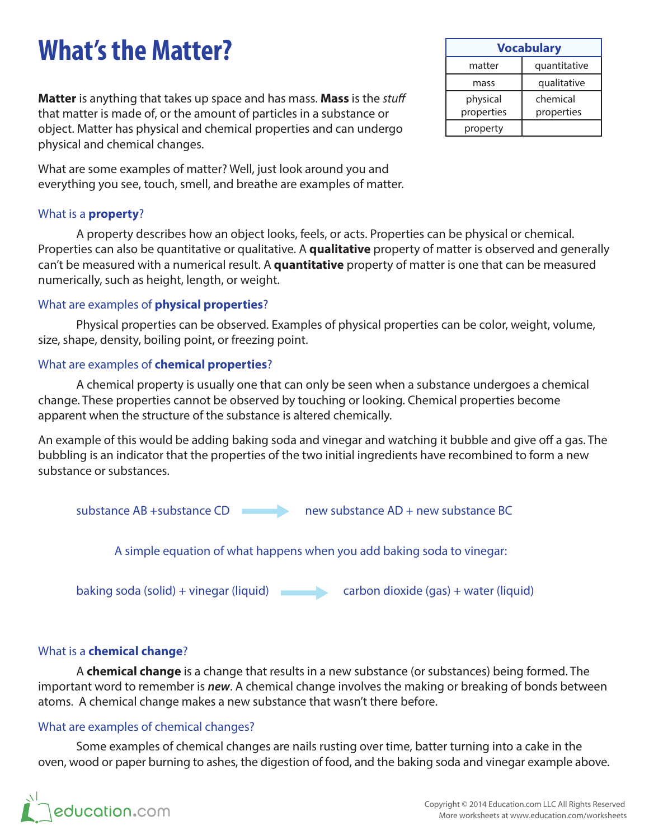# **What's the Matter?**

**Matter** is anything that takes up space and has mass. **Mass** is the *stuff* that matter is made of, or the amount of particles in a substance or object. Matter has physical and chemical properties and can undergo physical and chemical changes.

What are some examples of matter? Well, just look around you and everything you see, touch, smell, and breathe are examples of matter.

## What is a **property**?

A property describes how an object looks, feels, or acts. Properties can be physical or chemical. Properties can also be quantitative or qualitative. A **qualitative** property of matter is observed and generally can't be measured with a numerical result. A **quantitative** property of matter is one that can be measured numerically, such as height, length, or weight.

#### What are examples of **physical properties**?

Physical properties can be observed. Examples of physical properties can be color, weight, volume, size, shape, density, boiling point, or freezing point.

### What are examples of **chemical properties**?

A chemical property is usually one that can only be seen when a substance undergoes a chemical change. These properties cannot be observed by touching or looking. Chemical properties become apparent when the structure of the substance is altered chemically.

An example of this would be adding baking soda and vinegar and watching it bubble and give off a gas. The bubbling is an indicator that the properties of the two initial ingredients have recombined to form a new substance or substances.



## What is a **chemical change**?

A **chemical change** is a change that results in a new substance (or substances) being formed. The important word to remember is *new*. A chemical change involves the making or breaking of bonds between atoms. A chemical change makes a new substance that wasn't there before.

## What are examples of chemical changes?

Some examples of chemical changes are nails rusting over time, batter turning into a cake in the oven, wood or paper burning to ashes, the digestion of food, and the baking soda and vinegar example above.



| <b>Vocabulary</b>      |                        |  |
|------------------------|------------------------|--|
| matter                 | quantitative           |  |
| mass                   | qualitative            |  |
| physical<br>properties | chemical<br>properties |  |
| property               |                        |  |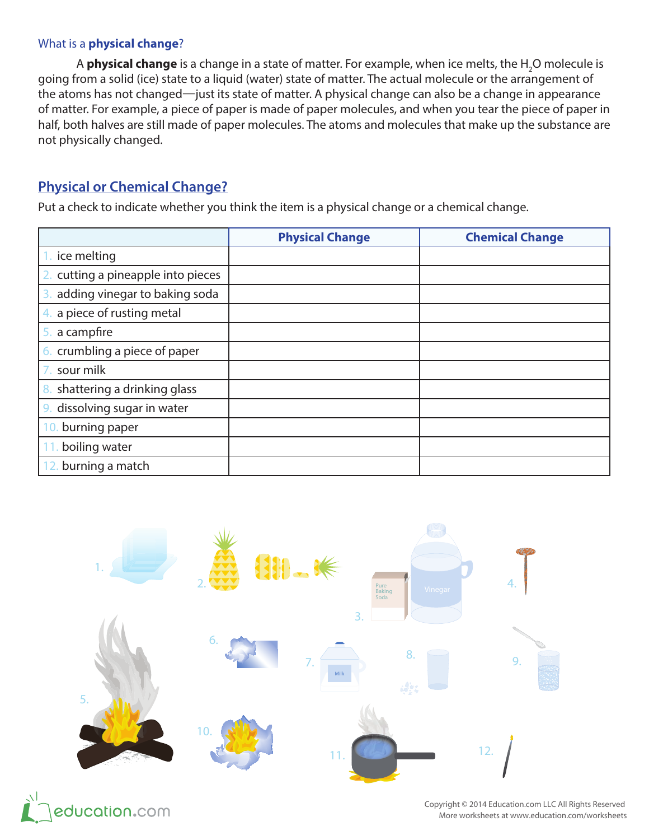### What is a **physical change**?

A **physical change** is a change in a state of matter. For example, when ice melts, the H<sub>2</sub>O molecule is going from a solid (ice) state to a liquid (water) state of matter. The actual molecule or the arrangement of the atoms has not changed—just its state of matter. A physical change can also be a change in appearance of matter. For example, a piece of paper is made of paper molecules, and when you tear the piece of paper in half, both halves are still made of paper molecules. The atoms and molecules that make up the substance are not physically changed.

## **Physical or Chemical Change?**

Put a check to indicate whether you think the item is a physical change or a chemical change.

|                                     | <b>Physical Change</b> | <b>Chemical Change</b> |
|-------------------------------------|------------------------|------------------------|
| ice melting                         |                        |                        |
| cutting a pineapple into pieces     |                        |                        |
| adding vinegar to baking soda<br>3. |                        |                        |
| 4. a piece of rusting metal         |                        |                        |
| 5. a campfire                       |                        |                        |
| 6. crumbling a piece of paper       |                        |                        |
| sour milk                           |                        |                        |
| shattering a drinking glass<br>8.   |                        |                        |
| 9. dissolving sugar in water        |                        |                        |
| burning paper<br>10.                |                        |                        |
| boiling water                       |                        |                        |
| 12. burning a match                 |                        |                        |



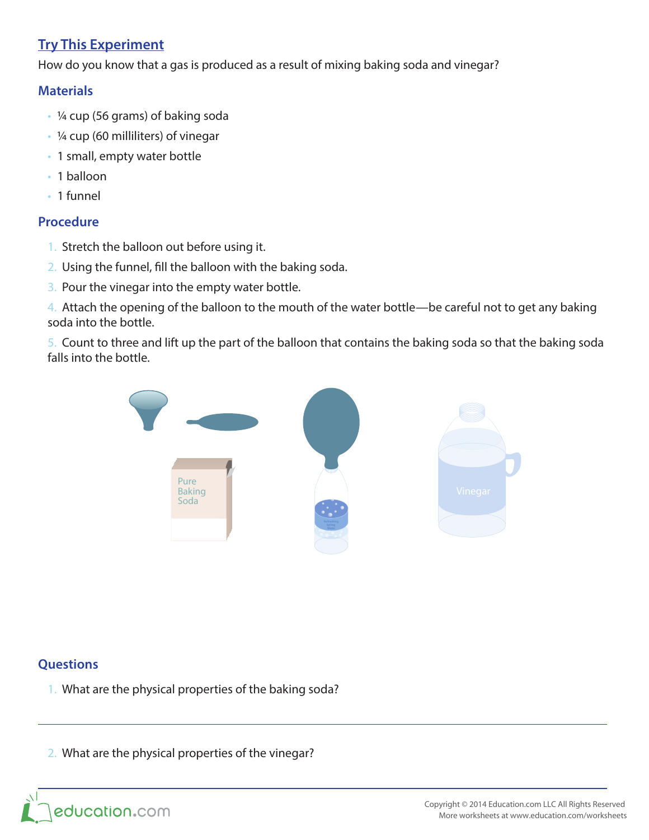## **Try This Experiment**

How do you know that a gas is produced as a result of mixing baking soda and vinegar?

## **Materials**

- ¼ cup (56 grams) of baking soda
- ¼ cup (60 milliliters) of vinegar
- 1 small, empty water bottle
- 1 balloon
- 1 funnel

### **Procedure**

- 1. Stretch the balloon out before using it.
- 2. Using the funnel, fill the balloon with the baking soda.
- 3. Pour the vinegar into the empty water bottle.

4. Attach the opening of the balloon to the mouth of the water bottle—be careful not to get any baking soda into the bottle.

5. Count to three and lift up the part of the balloon that contains the baking soda so that the baking soda falls into the bottle.



## **Questions**

 $\overline{\phantom{0}}$ 

- 1. What are the physical properties of the baking soda?
- 2. What are the physical properties of the vinegar?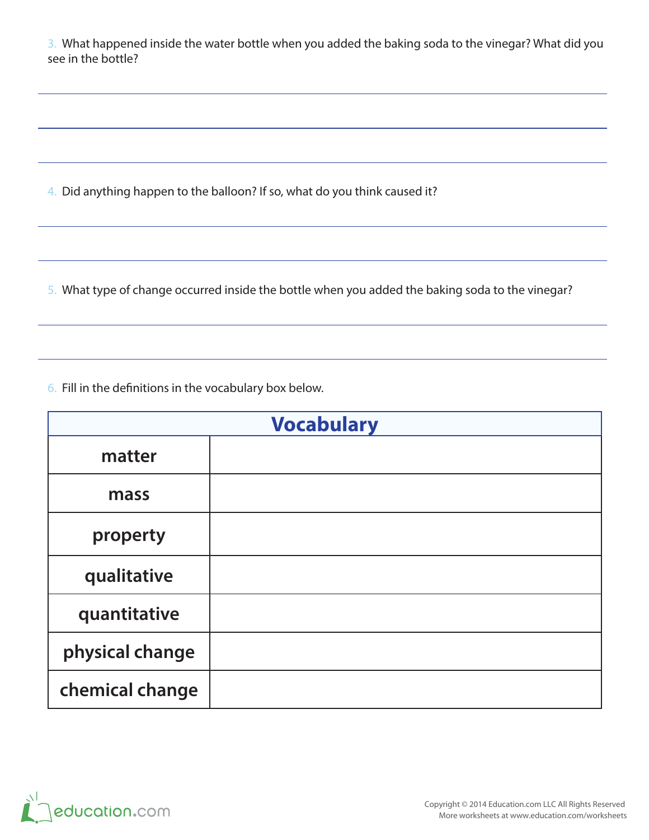3. What happened inside the water bottle when you added the baking soda to the vinegar? What did you see in the bottle?

4. Did anything happen to the balloon? If so, what do you think caused it?

5. What type of change occurred inside the bottle when you added the baking soda to the vinegar?

6. Fill in the definitions in the vocabulary box below.

| <b>Vocabulary</b> |  |  |
|-------------------|--|--|
| matter            |  |  |
| mass              |  |  |
| property          |  |  |
| qualitative       |  |  |
| quantitative      |  |  |
| physical change   |  |  |
| chemical change   |  |  |



 $\overline{\phantom{a}}$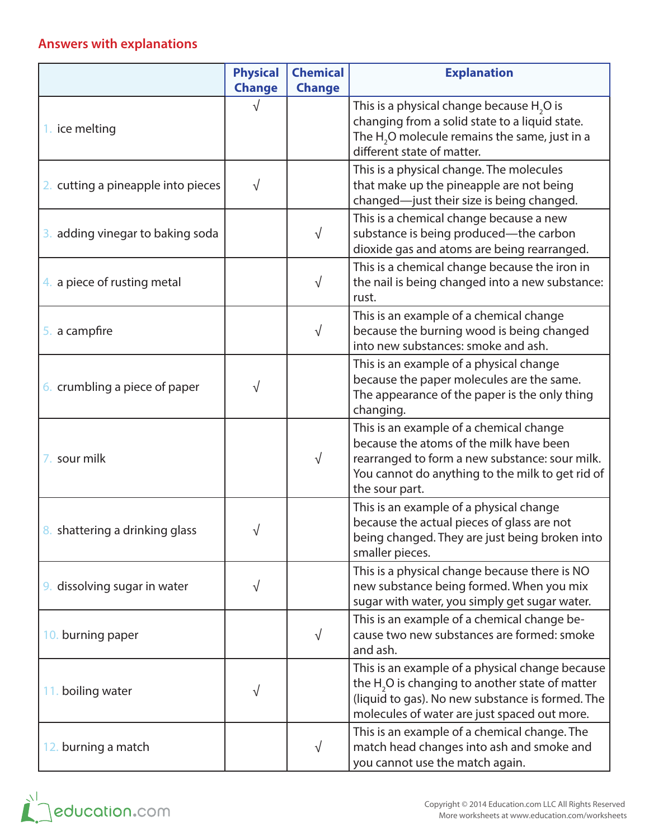## **Answers with explanations**

|                                    | <b>Physical</b><br><b>Change</b> | <b>Chemical</b><br><b>Change</b> | <b>Explanation</b>                                                                                                                                                                                         |
|------------------------------------|----------------------------------|----------------------------------|------------------------------------------------------------------------------------------------------------------------------------------------------------------------------------------------------------|
| 1. ice melting                     |                                  |                                  | This is a physical change because $H_2O$ is<br>changing from a solid state to a liquid state.<br>The $H2O$ molecule remains the same, just in a<br>different state of matter.                              |
| 2. cutting a pineapple into pieces | $\sqrt{}$                        |                                  | This is a physical change. The molecules<br>that make up the pineapple are not being<br>changed-just their size is being changed.                                                                          |
| 3. adding vinegar to baking soda   |                                  | $\sqrt{}$                        | This is a chemical change because a new<br>substance is being produced-the carbon<br>dioxide gas and atoms are being rearranged.                                                                           |
| 4. a piece of rusting metal        |                                  | √                                | This is a chemical change because the iron in<br>the nail is being changed into a new substance:<br>rust.                                                                                                  |
| 5. a campfire                      |                                  | $\sqrt{}$                        | This is an example of a chemical change<br>because the burning wood is being changed<br>into new substances: smoke and ash.                                                                                |
| 6. crumbling a piece of paper      | √                                |                                  | This is an example of a physical change<br>because the paper molecules are the same.<br>The appearance of the paper is the only thing<br>changing.                                                         |
| 7. sour milk                       |                                  | $\sqrt{}$                        | This is an example of a chemical change<br>because the atoms of the milk have been<br>rearranged to form a new substance: sour milk.<br>You cannot do anything to the milk to get rid of<br>the sour part. |
| 8. shattering a drinking glass     |                                  |                                  | This is an example of a physical change<br>because the actual pieces of glass are not<br>being changed. They are just being broken into<br>smaller pieces.                                                 |
| 9. dissolving sugar in water       | $\sqrt{}$                        |                                  | This is a physical change because there is NO<br>new substance being formed. When you mix<br>sugar with water, you simply get sugar water.                                                                 |
| 10. burning paper                  |                                  | $\sqrt{}$                        | This is an example of a chemical change be-<br>cause two new substances are formed: smoke<br>and ash.                                                                                                      |
| 11. boiling water                  | $\sqrt{}$                        |                                  | This is an example of a physical change because<br>the $H2O$ is changing to another state of matter<br>(liquid to gas). No new substance is formed. The<br>molecules of water are just spaced out more.    |
| 12. burning a match                |                                  | $\sqrt{}$                        | This is an example of a chemical change. The<br>match head changes into ash and smoke and<br>you cannot use the match again.                                                                               |